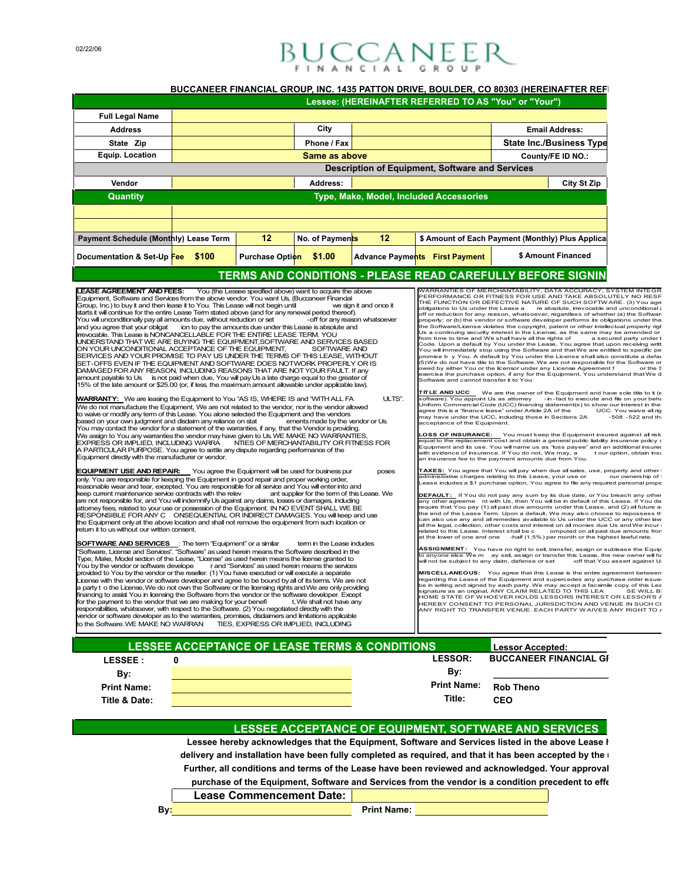## $B_{\mu}$ <sub>r</sub>  $C_{\mu}$  $C_{\mu}$  $A$  $N_{\mu}$  $E$  $E$  $R$

## **BUCCANEER FINANCIAL GROUP, INC. 1435 PATTON DRIVE, BOULDER, CO 80303 (HEREINAFTER REF**

|                                                                                                                                                                                                                                                                                                                                                                                                                                                                                                                                                                                                                                                                                                                                                                                                                                                                                                                                                                                                                                                                                                                                                                                                                                                                                                                                                                                                                                                                                                                                                                                                                                                                                                                                                                                                                                                                                                                                                                                                                                                                                                                                                                                                                                                                                                                                                                                                                                                                                                                                                                                                                                                                                                                                                                                                                                                                                                                                                                                                                                                                                                                                                                                                                                                                                                                                                                                                                                                                                                     |                                                          |                        |                                                                                                                                                                                                                                                       |                                                   | Lessee: (HEREINAFTER REFERRED TO AS "You" or "Your")                                                                                                                                                                                                                                                                                                                                                                                                                                                                                                                                                                                                                                                                                                                                                                                                                                                                                                                                                                                                                                                                                                                                                                                                                                                                                                                                                                                                                                                                                                                                                                                                                                                                                                                                                                                                                                                                                                                                                                                                                                                                                                                                                                                                                                                                                                                                                                                                                                                                                                                                                                                                                                                                                                                                                                                                                                                                                                                                                                                                                                                                                                                                                                                                                                                                                                               |                                                                                           |                                                                                                                                                           |
|-----------------------------------------------------------------------------------------------------------------------------------------------------------------------------------------------------------------------------------------------------------------------------------------------------------------------------------------------------------------------------------------------------------------------------------------------------------------------------------------------------------------------------------------------------------------------------------------------------------------------------------------------------------------------------------------------------------------------------------------------------------------------------------------------------------------------------------------------------------------------------------------------------------------------------------------------------------------------------------------------------------------------------------------------------------------------------------------------------------------------------------------------------------------------------------------------------------------------------------------------------------------------------------------------------------------------------------------------------------------------------------------------------------------------------------------------------------------------------------------------------------------------------------------------------------------------------------------------------------------------------------------------------------------------------------------------------------------------------------------------------------------------------------------------------------------------------------------------------------------------------------------------------------------------------------------------------------------------------------------------------------------------------------------------------------------------------------------------------------------------------------------------------------------------------------------------------------------------------------------------------------------------------------------------------------------------------------------------------------------------------------------------------------------------------------------------------------------------------------------------------------------------------------------------------------------------------------------------------------------------------------------------------------------------------------------------------------------------------------------------------------------------------------------------------------------------------------------------------------------------------------------------------------------------------------------------------------------------------------------------------------------------------------------------------------------------------------------------------------------------------------------------------------------------------------------------------------------------------------------------------------------------------------------------------------------------------------------------------------------------------------------------------------------------------------------------------------------------------------------------------|----------------------------------------------------------|------------------------|-------------------------------------------------------------------------------------------------------------------------------------------------------------------------------------------------------------------------------------------------------|---------------------------------------------------|--------------------------------------------------------------------------------------------------------------------------------------------------------------------------------------------------------------------------------------------------------------------------------------------------------------------------------------------------------------------------------------------------------------------------------------------------------------------------------------------------------------------------------------------------------------------------------------------------------------------------------------------------------------------------------------------------------------------------------------------------------------------------------------------------------------------------------------------------------------------------------------------------------------------------------------------------------------------------------------------------------------------------------------------------------------------------------------------------------------------------------------------------------------------------------------------------------------------------------------------------------------------------------------------------------------------------------------------------------------------------------------------------------------------------------------------------------------------------------------------------------------------------------------------------------------------------------------------------------------------------------------------------------------------------------------------------------------------------------------------------------------------------------------------------------------------------------------------------------------------------------------------------------------------------------------------------------------------------------------------------------------------------------------------------------------------------------------------------------------------------------------------------------------------------------------------------------------------------------------------------------------------------------------------------------------------------------------------------------------------------------------------------------------------------------------------------------------------------------------------------------------------------------------------------------------------------------------------------------------------------------------------------------------------------------------------------------------------------------------------------------------------------------------------------------------------------------------------------------------------------------------------------------------------------------------------------------------------------------------------------------------------------------------------------------------------------------------------------------------------------------------------------------------------------------------------------------------------------------------------------------------------------------------------------------------------------------------------------------------------|-------------------------------------------------------------------------------------------|-----------------------------------------------------------------------------------------------------------------------------------------------------------|
| <b>Full Legal Name</b>                                                                                                                                                                                                                                                                                                                                                                                                                                                                                                                                                                                                                                                                                                                                                                                                                                                                                                                                                                                                                                                                                                                                                                                                                                                                                                                                                                                                                                                                                                                                                                                                                                                                                                                                                                                                                                                                                                                                                                                                                                                                                                                                                                                                                                                                                                                                                                                                                                                                                                                                                                                                                                                                                                                                                                                                                                                                                                                                                                                                                                                                                                                                                                                                                                                                                                                                                                                                                                                                              |                                                          |                        |                                                                                                                                                                                                                                                       |                                                   |                                                                                                                                                                                                                                                                                                                                                                                                                                                                                                                                                                                                                                                                                                                                                                                                                                                                                                                                                                                                                                                                                                                                                                                                                                                                                                                                                                                                                                                                                                                                                                                                                                                                                                                                                                                                                                                                                                                                                                                                                                                                                                                                                                                                                                                                                                                                                                                                                                                                                                                                                                                                                                                                                                                                                                                                                                                                                                                                                                                                                                                                                                                                                                                                                                                                                                                                                                    |                                                                                           |                                                                                                                                                           |
| <b>Address</b>                                                                                                                                                                                                                                                                                                                                                                                                                                                                                                                                                                                                                                                                                                                                                                                                                                                                                                                                                                                                                                                                                                                                                                                                                                                                                                                                                                                                                                                                                                                                                                                                                                                                                                                                                                                                                                                                                                                                                                                                                                                                                                                                                                                                                                                                                                                                                                                                                                                                                                                                                                                                                                                                                                                                                                                                                                                                                                                                                                                                                                                                                                                                                                                                                                                                                                                                                                                                                                                                                      |                                                          |                        | City                                                                                                                                                                                                                                                  |                                                   |                                                                                                                                                                                                                                                                                                                                                                                                                                                                                                                                                                                                                                                                                                                                                                                                                                                                                                                                                                                                                                                                                                                                                                                                                                                                                                                                                                                                                                                                                                                                                                                                                                                                                                                                                                                                                                                                                                                                                                                                                                                                                                                                                                                                                                                                                                                                                                                                                                                                                                                                                                                                                                                                                                                                                                                                                                                                                                                                                                                                                                                                                                                                                                                                                                                                                                                                                                    |                                                                                           | <b>Email Address:</b>                                                                                                                                     |
| State Zip                                                                                                                                                                                                                                                                                                                                                                                                                                                                                                                                                                                                                                                                                                                                                                                                                                                                                                                                                                                                                                                                                                                                                                                                                                                                                                                                                                                                                                                                                                                                                                                                                                                                                                                                                                                                                                                                                                                                                                                                                                                                                                                                                                                                                                                                                                                                                                                                                                                                                                                                                                                                                                                                                                                                                                                                                                                                                                                                                                                                                                                                                                                                                                                                                                                                                                                                                                                                                                                                                           |                                                          |                        | Phone / Fax                                                                                                                                                                                                                                           |                                                   |                                                                                                                                                                                                                                                                                                                                                                                                                                                                                                                                                                                                                                                                                                                                                                                                                                                                                                                                                                                                                                                                                                                                                                                                                                                                                                                                                                                                                                                                                                                                                                                                                                                                                                                                                                                                                                                                                                                                                                                                                                                                                                                                                                                                                                                                                                                                                                                                                                                                                                                                                                                                                                                                                                                                                                                                                                                                                                                                                                                                                                                                                                                                                                                                                                                                                                                                                                    |                                                                                           | <b>State Inc./Business Type</b>                                                                                                                           |
| <b>Equip. Location</b>                                                                                                                                                                                                                                                                                                                                                                                                                                                                                                                                                                                                                                                                                                                                                                                                                                                                                                                                                                                                                                                                                                                                                                                                                                                                                                                                                                                                                                                                                                                                                                                                                                                                                                                                                                                                                                                                                                                                                                                                                                                                                                                                                                                                                                                                                                                                                                                                                                                                                                                                                                                                                                                                                                                                                                                                                                                                                                                                                                                                                                                                                                                                                                                                                                                                                                                                                                                                                                                                              |                                                          |                        | Same as above                                                                                                                                                                                                                                         |                                                   |                                                                                                                                                                                                                                                                                                                                                                                                                                                                                                                                                                                                                                                                                                                                                                                                                                                                                                                                                                                                                                                                                                                                                                                                                                                                                                                                                                                                                                                                                                                                                                                                                                                                                                                                                                                                                                                                                                                                                                                                                                                                                                                                                                                                                                                                                                                                                                                                                                                                                                                                                                                                                                                                                                                                                                                                                                                                                                                                                                                                                                                                                                                                                                                                                                                                                                                                                                    |                                                                                           | County/FE ID NO.:                                                                                                                                         |
|                                                                                                                                                                                                                                                                                                                                                                                                                                                                                                                                                                                                                                                                                                                                                                                                                                                                                                                                                                                                                                                                                                                                                                                                                                                                                                                                                                                                                                                                                                                                                                                                                                                                                                                                                                                                                                                                                                                                                                                                                                                                                                                                                                                                                                                                                                                                                                                                                                                                                                                                                                                                                                                                                                                                                                                                                                                                                                                                                                                                                                                                                                                                                                                                                                                                                                                                                                                                                                                                                                     |                                                          |                        |                                                                                                                                                                                                                                                       |                                                   | Description of Equipment, Software and Services                                                                                                                                                                                                                                                                                                                                                                                                                                                                                                                                                                                                                                                                                                                                                                                                                                                                                                                                                                                                                                                                                                                                                                                                                                                                                                                                                                                                                                                                                                                                                                                                                                                                                                                                                                                                                                                                                                                                                                                                                                                                                                                                                                                                                                                                                                                                                                                                                                                                                                                                                                                                                                                                                                                                                                                                                                                                                                                                                                                                                                                                                                                                                                                                                                                                                                                    |                                                                                           |                                                                                                                                                           |
| Vendor                                                                                                                                                                                                                                                                                                                                                                                                                                                                                                                                                                                                                                                                                                                                                                                                                                                                                                                                                                                                                                                                                                                                                                                                                                                                                                                                                                                                                                                                                                                                                                                                                                                                                                                                                                                                                                                                                                                                                                                                                                                                                                                                                                                                                                                                                                                                                                                                                                                                                                                                                                                                                                                                                                                                                                                                                                                                                                                                                                                                                                                                                                                                                                                                                                                                                                                                                                                                                                                                                              |                                                          |                        | Address:                                                                                                                                                                                                                                              |                                                   |                                                                                                                                                                                                                                                                                                                                                                                                                                                                                                                                                                                                                                                                                                                                                                                                                                                                                                                                                                                                                                                                                                                                                                                                                                                                                                                                                                                                                                                                                                                                                                                                                                                                                                                                                                                                                                                                                                                                                                                                                                                                                                                                                                                                                                                                                                                                                                                                                                                                                                                                                                                                                                                                                                                                                                                                                                                                                                                                                                                                                                                                                                                                                                                                                                                                                                                                                                    |                                                                                           | <b>City St Zip</b>                                                                                                                                        |
| Quantity                                                                                                                                                                                                                                                                                                                                                                                                                                                                                                                                                                                                                                                                                                                                                                                                                                                                                                                                                                                                                                                                                                                                                                                                                                                                                                                                                                                                                                                                                                                                                                                                                                                                                                                                                                                                                                                                                                                                                                                                                                                                                                                                                                                                                                                                                                                                                                                                                                                                                                                                                                                                                                                                                                                                                                                                                                                                                                                                                                                                                                                                                                                                                                                                                                                                                                                                                                                                                                                                                            |                                                          |                        |                                                                                                                                                                                                                                                       |                                                   | Type, Make, Model, Included Accessories                                                                                                                                                                                                                                                                                                                                                                                                                                                                                                                                                                                                                                                                                                                                                                                                                                                                                                                                                                                                                                                                                                                                                                                                                                                                                                                                                                                                                                                                                                                                                                                                                                                                                                                                                                                                                                                                                                                                                                                                                                                                                                                                                                                                                                                                                                                                                                                                                                                                                                                                                                                                                                                                                                                                                                                                                                                                                                                                                                                                                                                                                                                                                                                                                                                                                                                            |                                                                                           |                                                                                                                                                           |
|                                                                                                                                                                                                                                                                                                                                                                                                                                                                                                                                                                                                                                                                                                                                                                                                                                                                                                                                                                                                                                                                                                                                                                                                                                                                                                                                                                                                                                                                                                                                                                                                                                                                                                                                                                                                                                                                                                                                                                                                                                                                                                                                                                                                                                                                                                                                                                                                                                                                                                                                                                                                                                                                                                                                                                                                                                                                                                                                                                                                                                                                                                                                                                                                                                                                                                                                                                                                                                                                                                     |                                                          |                        |                                                                                                                                                                                                                                                       |                                                   |                                                                                                                                                                                                                                                                                                                                                                                                                                                                                                                                                                                                                                                                                                                                                                                                                                                                                                                                                                                                                                                                                                                                                                                                                                                                                                                                                                                                                                                                                                                                                                                                                                                                                                                                                                                                                                                                                                                                                                                                                                                                                                                                                                                                                                                                                                                                                                                                                                                                                                                                                                                                                                                                                                                                                                                                                                                                                                                                                                                                                                                                                                                                                                                                                                                                                                                                                                    |                                                                                           |                                                                                                                                                           |
|                                                                                                                                                                                                                                                                                                                                                                                                                                                                                                                                                                                                                                                                                                                                                                                                                                                                                                                                                                                                                                                                                                                                                                                                                                                                                                                                                                                                                                                                                                                                                                                                                                                                                                                                                                                                                                                                                                                                                                                                                                                                                                                                                                                                                                                                                                                                                                                                                                                                                                                                                                                                                                                                                                                                                                                                                                                                                                                                                                                                                                                                                                                                                                                                                                                                                                                                                                                                                                                                                                     |                                                          | 12                     |                                                                                                                                                                                                                                                       | 12                                                |                                                                                                                                                                                                                                                                                                                                                                                                                                                                                                                                                                                                                                                                                                                                                                                                                                                                                                                                                                                                                                                                                                                                                                                                                                                                                                                                                                                                                                                                                                                                                                                                                                                                                                                                                                                                                                                                                                                                                                                                                                                                                                                                                                                                                                                                                                                                                                                                                                                                                                                                                                                                                                                                                                                                                                                                                                                                                                                                                                                                                                                                                                                                                                                                                                                                                                                                                                    |                                                                                           |                                                                                                                                                           |
| <b>Payment Schedule (Monthly) Lease Term</b>                                                                                                                                                                                                                                                                                                                                                                                                                                                                                                                                                                                                                                                                                                                                                                                                                                                                                                                                                                                                                                                                                                                                                                                                                                                                                                                                                                                                                                                                                                                                                                                                                                                                                                                                                                                                                                                                                                                                                                                                                                                                                                                                                                                                                                                                                                                                                                                                                                                                                                                                                                                                                                                                                                                                                                                                                                                                                                                                                                                                                                                                                                                                                                                                                                                                                                                                                                                                                                                        |                                                          |                        | No. of Payments                                                                                                                                                                                                                                       |                                                   | \$ Amount of Each Payment (Monthly) Plus Applica                                                                                                                                                                                                                                                                                                                                                                                                                                                                                                                                                                                                                                                                                                                                                                                                                                                                                                                                                                                                                                                                                                                                                                                                                                                                                                                                                                                                                                                                                                                                                                                                                                                                                                                                                                                                                                                                                                                                                                                                                                                                                                                                                                                                                                                                                                                                                                                                                                                                                                                                                                                                                                                                                                                                                                                                                                                                                                                                                                                                                                                                                                                                                                                                                                                                                                                   |                                                                                           |                                                                                                                                                           |
| Documentation & Set-Up Fee \$100                                                                                                                                                                                                                                                                                                                                                                                                                                                                                                                                                                                                                                                                                                                                                                                                                                                                                                                                                                                                                                                                                                                                                                                                                                                                                                                                                                                                                                                                                                                                                                                                                                                                                                                                                                                                                                                                                                                                                                                                                                                                                                                                                                                                                                                                                                                                                                                                                                                                                                                                                                                                                                                                                                                                                                                                                                                                                                                                                                                                                                                                                                                                                                                                                                                                                                                                                                                                                                                                    |                                                          | Purchase Option \$1.00 |                                                                                                                                                                                                                                                       |                                                   | <b>Advance Payments</b> First Payment                                                                                                                                                                                                                                                                                                                                                                                                                                                                                                                                                                                                                                                                                                                                                                                                                                                                                                                                                                                                                                                                                                                                                                                                                                                                                                                                                                                                                                                                                                                                                                                                                                                                                                                                                                                                                                                                                                                                                                                                                                                                                                                                                                                                                                                                                                                                                                                                                                                                                                                                                                                                                                                                                                                                                                                                                                                                                                                                                                                                                                                                                                                                                                                                                                                                                                                              |                                                                                           | \$ Amount Financed                                                                                                                                        |
|                                                                                                                                                                                                                                                                                                                                                                                                                                                                                                                                                                                                                                                                                                                                                                                                                                                                                                                                                                                                                                                                                                                                                                                                                                                                                                                                                                                                                                                                                                                                                                                                                                                                                                                                                                                                                                                                                                                                                                                                                                                                                                                                                                                                                                                                                                                                                                                                                                                                                                                                                                                                                                                                                                                                                                                                                                                                                                                                                                                                                                                                                                                                                                                                                                                                                                                                                                                                                                                                                                     |                                                          |                        |                                                                                                                                                                                                                                                       |                                                   | TERMS AND CONDITIONS - PLEASE READ CAREFULLY BEFORE SIGNIN                                                                                                                                                                                                                                                                                                                                                                                                                                                                                                                                                                                                                                                                                                                                                                                                                                                                                                                                                                                                                                                                                                                                                                                                                                                                                                                                                                                                                                                                                                                                                                                                                                                                                                                                                                                                                                                                                                                                                                                                                                                                                                                                                                                                                                                                                                                                                                                                                                                                                                                                                                                                                                                                                                                                                                                                                                                                                                                                                                                                                                                                                                                                                                                                                                                                                                         |                                                                                           |                                                                                                                                                           |
| You will unconditionally pay all amounts due, without reduction or set<br>and you agree that your obligat ion to pay the amounts due under this Lease is absolute and<br>irrevocable. This Lease is NONCANCELLABLE FOR THE ENTIRE LEASE TERM. YOU<br>UNDERSTAND THAT WE ARE BUYING THE EQUIPMENT, SOFTWARE AND SERVICES BASED<br>ON YOUR UNCONDITIONAL ACCEPTANCE OF THE EQUIPMENT.<br>SERVICES AND YOUR PROMISE TO PAY US UNDER THE TERMS OF THIS LEASE, WITHOUT<br>SET-OFFS EVEN IF THE EQUIPMENT AND SOFTWARE DOES NOTWORK PROPERLY OR IS<br>DAMAGED FOR ANY REASON. INCLUDING REASONS THAT ARE NOT YOUR FAULT. If any<br>amount payable to Us is not paid when due, You will pay Us a late charge equal to the greater of<br>15% of the late amount or \$25.00 (or, if less, the maximum amount allowable under applicable law).<br><b>WARRANTY:</b> We are leasing the Equipment to You "AS IS, WHERE IS and "WITH ALL FA<br>We do not manufacture the Equipment, We are not related to the vendor, nor is the vendor allowed<br>to waive or modify any term of this Lease. You alone selected the Equipment and the vendors<br>based on your own judgment and disdaim any reliance on stat<br>You may contact the vendor for a statement of the warranties, if any, that the Vendor is providing.<br>We assign to You any warranties the vendor may have given to Us. WE MAKE NO WARRANTIES,<br>EXPRESS OR IMPLIED, INCLUDING WARRA NTIES OF MERCHANTABILITY OR FITNESS FOR<br>A PARTICULAR PURPOSE. You agree to settle any dispute regarding performance of the<br>Equipment directly with the manufacturer or vendor.<br><b>EQUIPMENT USE AND REPAIR:</b> You agree the Equipment will be used for business pur<br>only. You are responsible for keeping the Equipment in good repair and proper working order,<br>reasonable wear and tear, excepted. You are responsible for all service and You will enter into and<br>keep current maintenance service contracts with the relev<br>are not responsible for, and You will indemnify Us against any daims, losses or damages, induding<br>attomey fees, related to your use or possession of the Equipment. IN NO EVENT SHALL WE BE<br>RESPONSIBLE FOR ANY C ONSEQUENTIAL OR INDIRECT DAMAGES. You will keep and use<br>the Equipment only at the above location and shall not remove the equipment from such location or<br>retum it to us without our written consent.<br><b>SOFTWARE AND SERVICES</b> : The term "Equipment" or a similar<br>"Software, License and Services", "Software" as used herein means the Software described in the<br>Type, Make, Model section of the Lease, "License" as used herein means the license granted to<br>You by the vendor or software develope<br>provided to You by the vendor or the reseller. (1) You have executed or will execute a separate<br>License with the vendor or software developer and agree to be bound by all of its terms. We are not<br>a party t o the License, We do not own the Software or the licensing rights and We are only providing<br>financing to assist You in licensing the Software from the vendor or the software developer. Except<br>for the payment to the vendor that we are making for your benefi<br>responsibilities, whatsoever, with respect to the Software. (2) You negotiated directly with the<br>vendor or software developer as to the warranties, promises, disdaimers and limitations applicable<br>to the Software. WE MAKE NO WARRAN | <b>LESSEE ACCEPTANCE OF LEASE TERMS &amp; CONDITIONS</b> |                        | SOFTWARE AND<br>ements made by the vendor or Us.<br>ant supplier for the term of this Lease. We<br>term in the Lease indudes<br>r and "Services" as used herein means the services<br>t, We shall not have any<br>TIES, EXPRESS OR IMPLIED, INCLUDING | -off for any reason whatsoever<br>ULTS".<br>poses | off or reduction for any reason, whatsoever, regardless of whether (a) the Softwan<br>properly; or (b) the vendor or software developer performs its obligations under the<br>the Software/License violates the copyright, patent or other intellectual property right<br>Us a continuing security interest in the License, as the same may be amended or<br>from time to time and We shall have all the rights of<br>Code. Upon a default by You under the Lease, You agree that upon receiving writt<br>You will immediately stop using the Software and that We are entitled to specific pe<br>promise b y You. A default by You under the License shall also constitute a defat<br>(5) We do not have title to the Software. We are not responsible for the Software or<br>owed by either You or the licensor under any License Agreement f<br>exercise the purchase option, if any for the Equipment, You understand that We d<br>Software and cannot transfer it to You.<br><b>TITLE AND UCC</b><br>software). You appoint Us as attomey -in-fact to execute and file on your beha<br>Uniform Commercial Code (UCC) financing statement(s) to show our interest in the<br>agree this is a "finance lease" under Article 2A of the<br>may have under the UCC, induding those in Sections 2A<br>acceptance of the Equipment.<br>LOSS OF INSURANCE: You must keep the Equipment insured against all risk<br>equal to the replacement cost and obtain a general public liability insurance policy $\epsilon$<br>Equipment and its use. You will name us as "loss payee" and an additional insured<br>with evidence of insurance. If You do not, We may, a<br>an insurance fee to the payment amounts due from You.<br>TAXES: You agree that You will pay when due all sales, use, property and other t<br>administrative charges relating to this Lease, your use or<br>ease indudes a \$1 purchase option, You agree to file any required personal prope<br>DEFAULT: If You do not pay any sum by its due date, or You breach any other<br>any other agreeme nt with Us, then You will be in default of this Lease. If You de<br>require that You pay (1) all past due amounts under this Lease, and (2) all future ar<br>the end of the Lease Term. Upon a default, We may also choose to repossess th<br>can also use any and all remedies available to Us under the UCC or any other law<br>all the legal, collection, other costs and interest on all monies due Us and We incur i<br>related to this Lease. Interest shall be c<br>at the lower of one and one - half (1.5%) per month or the highest lawful rate.<br>ASSIGNMENT: You have no right to sell, transfer, assign or sublease the Equip<br>to anyone else. We m ay sell, assign or transfer this Lease, the new owner will ha<br>will not be subject to any claim, defense or set<br>MISCELLANEOUS: You agree that this Lease is the entire agreement between<br>regarding the Lease of the Equipment and supercedes any purchase order issue<br>be in writing and signed by each party. We may accept a facsimile copy of this Lea<br>signature as an original, ANY CLAIM RELATED TO THIS LEA<br>IOME STATE OF W HOEVER HOLDS LESSORS INTEREST OR LESSOR'S A<br>HEREBY CONSENT TO PERSONAL JURISDICTION AND VENUE IN SUCH C(<br>ANY RIGHT TO TRANSFER VENUE. EACH PARTY WAIVES ANY RIGHT TO J | We are the owner of the Equipment and have sole title to it (e<br><b>Lessor Accepted:</b> | a secured party under t<br>UCC. You waive all rig<br>t our option, obtain inst<br>omputed on all past due amounts fron<br>-off that You assert against U: |
|                                                                                                                                                                                                                                                                                                                                                                                                                                                                                                                                                                                                                                                                                                                                                                                                                                                                                                                                                                                                                                                                                                                                                                                                                                                                                                                                                                                                                                                                                                                                                                                                                                                                                                                                                                                                                                                                                                                                                                                                                                                                                                                                                                                                                                                                                                                                                                                                                                                                                                                                                                                                                                                                                                                                                                                                                                                                                                                                                                                                                                                                                                                                                                                                                                                                                                                                                                                                                                                                                                     |                                                          |                        |                                                                                                                                                                                                                                                       |                                                   | <b>LESSOR:</b>                                                                                                                                                                                                                                                                                                                                                                                                                                                                                                                                                                                                                                                                                                                                                                                                                                                                                                                                                                                                                                                                                                                                                                                                                                                                                                                                                                                                                                                                                                                                                                                                                                                                                                                                                                                                                                                                                                                                                                                                                                                                                                                                                                                                                                                                                                                                                                                                                                                                                                                                                                                                                                                                                                                                                                                                                                                                                                                                                                                                                                                                                                                                                                                                                                                                                                                                                     | <b>BUCCANEER FINANCIAL GI</b>                                                             |                                                                                                                                                           |
| LESSEE :                                                                                                                                                                                                                                                                                                                                                                                                                                                                                                                                                                                                                                                                                                                                                                                                                                                                                                                                                                                                                                                                                                                                                                                                                                                                                                                                                                                                                                                                                                                                                                                                                                                                                                                                                                                                                                                                                                                                                                                                                                                                                                                                                                                                                                                                                                                                                                                                                                                                                                                                                                                                                                                                                                                                                                                                                                                                                                                                                                                                                                                                                                                                                                                                                                                                                                                                                                                                                                                                                            | 0                                                        |                        |                                                                                                                                                                                                                                                       |                                                   |                                                                                                                                                                                                                                                                                                                                                                                                                                                                                                                                                                                                                                                                                                                                                                                                                                                                                                                                                                                                                                                                                                                                                                                                                                                                                                                                                                                                                                                                                                                                                                                                                                                                                                                                                                                                                                                                                                                                                                                                                                                                                                                                                                                                                                                                                                                                                                                                                                                                                                                                                                                                                                                                                                                                                                                                                                                                                                                                                                                                                                                                                                                                                                                                                                                                                                                                                                    |                                                                                           |                                                                                                                                                           |
| By:                                                                                                                                                                                                                                                                                                                                                                                                                                                                                                                                                                                                                                                                                                                                                                                                                                                                                                                                                                                                                                                                                                                                                                                                                                                                                                                                                                                                                                                                                                                                                                                                                                                                                                                                                                                                                                                                                                                                                                                                                                                                                                                                                                                                                                                                                                                                                                                                                                                                                                                                                                                                                                                                                                                                                                                                                                                                                                                                                                                                                                                                                                                                                                                                                                                                                                                                                                                                                                                                                                 |                                                          |                        |                                                                                                                                                                                                                                                       |                                                   | By:                                                                                                                                                                                                                                                                                                                                                                                                                                                                                                                                                                                                                                                                                                                                                                                                                                                                                                                                                                                                                                                                                                                                                                                                                                                                                                                                                                                                                                                                                                                                                                                                                                                                                                                                                                                                                                                                                                                                                                                                                                                                                                                                                                                                                                                                                                                                                                                                                                                                                                                                                                                                                                                                                                                                                                                                                                                                                                                                                                                                                                                                                                                                                                                                                                                                                                                                                                |                                                                                           |                                                                                                                                                           |
| <b>Print Name:</b>                                                                                                                                                                                                                                                                                                                                                                                                                                                                                                                                                                                                                                                                                                                                                                                                                                                                                                                                                                                                                                                                                                                                                                                                                                                                                                                                                                                                                                                                                                                                                                                                                                                                                                                                                                                                                                                                                                                                                                                                                                                                                                                                                                                                                                                                                                                                                                                                                                                                                                                                                                                                                                                                                                                                                                                                                                                                                                                                                                                                                                                                                                                                                                                                                                                                                                                                                                                                                                                                                  |                                                          |                        |                                                                                                                                                                                                                                                       |                                                   | <b>Print Name:</b><br>Title:                                                                                                                                                                                                                                                                                                                                                                                                                                                                                                                                                                                                                                                                                                                                                                                                                                                                                                                                                                                                                                                                                                                                                                                                                                                                                                                                                                                                                                                                                                                                                                                                                                                                                                                                                                                                                                                                                                                                                                                                                                                                                                                                                                                                                                                                                                                                                                                                                                                                                                                                                                                                                                                                                                                                                                                                                                                                                                                                                                                                                                                                                                                                                                                                                                                                                                                                       | <b>Rob Theno</b><br><b>CEO</b>                                                            |                                                                                                                                                           |

Lessee hereby acknowledges that the Equipment, Software and Services listed in the above Lease I delivery and installation have been fully completed as required, and that it has been accepted by the **i** Further, all conditions and terms of the Lease have been reviewed and acknowledged. Your approval purchase of the Equipment, Software and Services from the vendor is a condition precedent to effe

| Lease Commencement Date: |  |
|--------------------------|--|
|--------------------------|--|

**By: Print Name:**